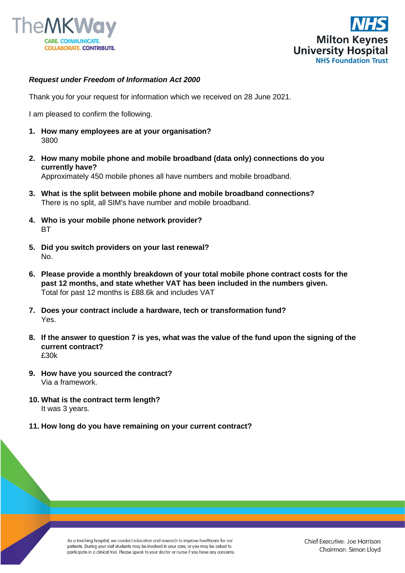



## *Request under Freedom of Information Act 2000*

Thank you for your request for information which we received on 28 June 2021.

I am pleased to confirm the following.

- **1. How many employees are at your organisation?** 3800
- **2. How many mobile phone and mobile broadband (data only) connections do you currently have?** Approximately 450 mobile phones all have numbers and mobile broadband.
- **3. What is the split between mobile phone and mobile broadband connections?** There is no split, all SIM's have number and mobile broadband.
- **4. Who is your mobile phone network provider? BT**
- **5. Did you switch providers on your last renewal?** No.
- **6. Please provide a monthly breakdown of your total mobile phone contract costs for the past 12 months, and state whether VAT has been included in the numbers given.** Total for past 12 months is £88.6k and includes VAT
- **7. Does your contract include a hardware, tech or transformation fund?** Yes.
- **8. If the answer to question 7 is yes, what was the value of the fund upon the signing of the current contract?** £30k
- **9. How have you sourced the contract?** Via a framework.
- **10. What is the contract term length?** It was 3 years.
- **11. How long do you have remaining on your current contract?**

As a teaching hospital, we conduct education and research to improve healthcare for our patients. During your visit students may be involved in your care, or you may be asked to participate in a clinical trial. Please speak to your doctor or nurse if you have any concerns.